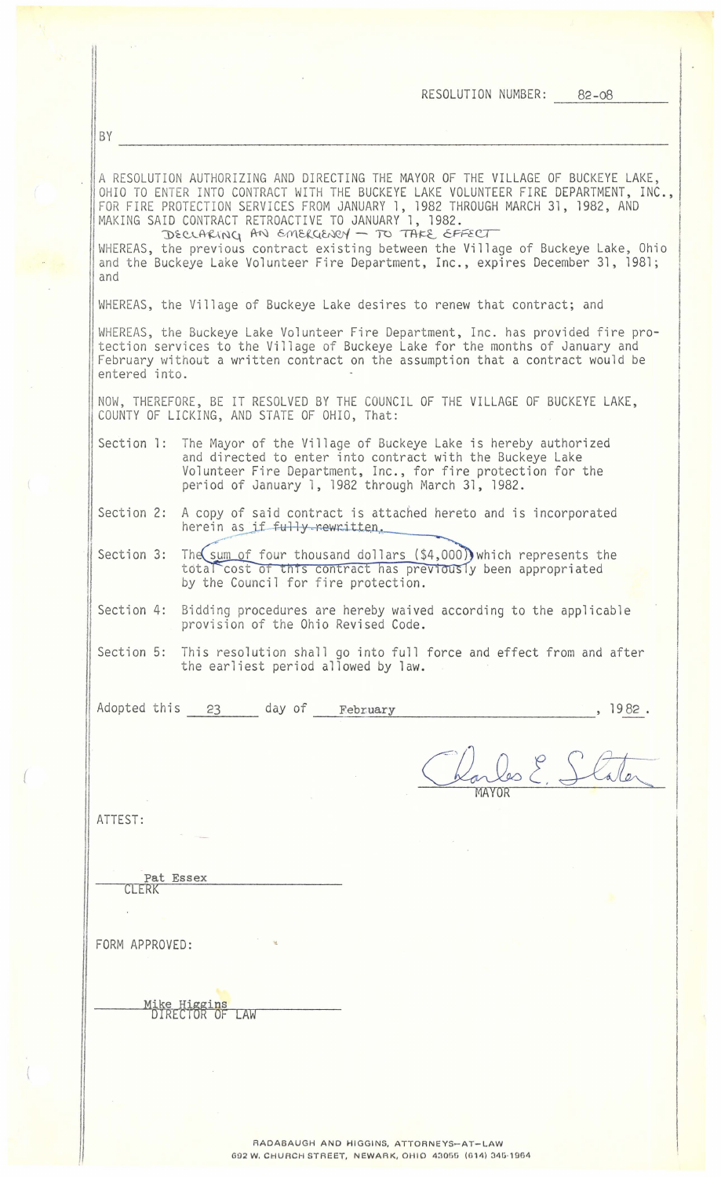|                | RESOLUTION NUMBER: 82-08                                                                                                                                                                                                                                                                                                                                                                                                                                                                                                            |
|----------------|-------------------------------------------------------------------------------------------------------------------------------------------------------------------------------------------------------------------------------------------------------------------------------------------------------------------------------------------------------------------------------------------------------------------------------------------------------------------------------------------------------------------------------------|
| BY             |                                                                                                                                                                                                                                                                                                                                                                                                                                                                                                                                     |
| and            | A RESOLUTION AUTHORIZING AND DIRECTING THE MAYOR OF THE VILLAGE OF BUCKEYE LAKE,<br>OHIO TO ENTER INTO CONTRACT WITH THE BUCKEYE LAKE VOLUNTEER FIRE DEPARTMENT, INC.,<br>FOR FIRE PROTECTION SERVICES FROM JANUARY 1, 1982 THROUGH MARCH 31, 1982, AND<br>MAKING SAID CONTRACT RETROACTIVE TO JANUARY 1, 1982.<br>DECLARING AN EMERGENCY - TO TAKE EFFECT<br>WHEREAS, the previous contract existing between the Village of Buckeye Lake, Ohio<br>and the Buckeye Lake Volunteer Fire Department, Inc., expires December 31, 1981; |
|                | WHEREAS, the Village of Buckeye Lake desires to renew that contract; and                                                                                                                                                                                                                                                                                                                                                                                                                                                            |
| entered into.  | WHEREAS, the Buckeye Lake Volunteer Fire Department, Inc. has provided fire pro-<br>tection services to the Village of Buckeye Lake for the months of January and<br>February without a written contract on the assumption that a contract would be                                                                                                                                                                                                                                                                                 |
|                | NOW, THEREFORE, BE IT RESOLVED BY THE COUNCIL OF THE VILLAGE OF BUCKEYE LAKE,<br>COUNTY OF LICKING, AND STATE OF OHIO, That:                                                                                                                                                                                                                                                                                                                                                                                                        |
|                | Section 1: The Mayor of the Village of Buckeye Lake is hereby authorized<br>and directed to enter into contract with the Buckeye Lake<br>Volunteer Fire Department, Inc., for fire protection for the<br>period of January 1, 1982 through March 31, 1982.                                                                                                                                                                                                                                                                          |
|                | Section 2: A copy of said contract is attached hereto and is incorporated<br>herein as if fully rewritten.                                                                                                                                                                                                                                                                                                                                                                                                                          |
| Section 3:     | The sum of four thousand dollars (\$4,000) which represents the<br>total cost of this contract has previously been appropriated<br>by the Council for fire protection.                                                                                                                                                                                                                                                                                                                                                              |
|                | Section 4: Bidding procedures are hereby waived according to the applicable<br>provision of the Ohio Revised Code.                                                                                                                                                                                                                                                                                                                                                                                                                  |
|                | Section 5: This resolution shall go into full force and effect from and after<br>the earliest period allowed by law.                                                                                                                                                                                                                                                                                                                                                                                                                |
|                | Adopted this 23 day of February<br>, 1982.                                                                                                                                                                                                                                                                                                                                                                                                                                                                                          |
|                | Darles E. Stater                                                                                                                                                                                                                                                                                                                                                                                                                                                                                                                    |
| ATTEST:        |                                                                                                                                                                                                                                                                                                                                                                                                                                                                                                                                     |
| CLERK          | Pat Essex                                                                                                                                                                                                                                                                                                                                                                                                                                                                                                                           |
| FORM APPROVED: |                                                                                                                                                                                                                                                                                                                                                                                                                                                                                                                                     |
|                | <u>Mike Higgins</u><br>DIRECTOR OF LAW                                                                                                                                                                                                                                                                                                                                                                                                                                                                                              |
|                |                                                                                                                                                                                                                                                                                                                                                                                                                                                                                                                                     |
|                |                                                                                                                                                                                                                                                                                                                                                                                                                                                                                                                                     |

(

RADABAUGH AND HIGGINS, ATTORNEYS-AT-LAW 692 W. CHURCH STREET, NEWARK, OHIO 43055 (614) 345-1964